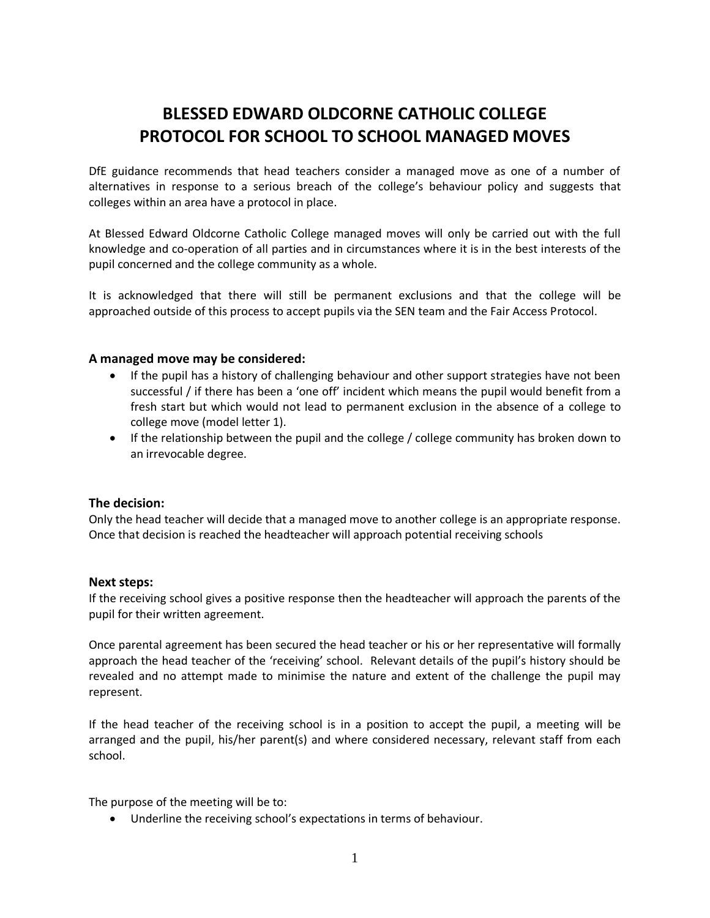# **BLESSED EDWARD OLDCORNE CATHOLIC COLLEGE PROTOCOL FOR SCHOOL TO SCHOOL MANAGED MOVES**

DfE guidance recommends that head teachers consider a managed move as one of a number of alternatives in response to a serious breach of the college's behaviour policy and suggests that colleges within an area have a protocol in place.

At Blessed Edward Oldcorne Catholic College managed moves will only be carried out with the full knowledge and co-operation of all parties and in circumstances where it is in the best interests of the pupil concerned and the college community as a whole.

It is acknowledged that there will still be permanent exclusions and that the college will be approached outside of this process to accept pupils via the SEN team and the Fair Access Protocol.

#### **A managed move may be considered:**

- If the pupil has a history of challenging behaviour and other support strategies have not been successful / if there has been a 'one off' incident which means the pupil would benefit from a fresh start but which would not lead to permanent exclusion in the absence of a college to college move (model letter 1).
- If the relationship between the pupil and the college / college community has broken down to an irrevocable degree.

#### **The decision:**

Only the head teacher will decide that a managed move to another college is an appropriate response. Once that decision is reached the headteacher will approach potential receiving schools

#### **Next steps:**

If the receiving school gives a positive response then the headteacher will approach the parents of the pupil for their written agreement.

Once parental agreement has been secured the head teacher or his or her representative will formally approach the head teacher of the 'receiving' school. Relevant details of the pupil's history should be revealed and no attempt made to minimise the nature and extent of the challenge the pupil may represent.

If the head teacher of the receiving school is in a position to accept the pupil, a meeting will be arranged and the pupil, his/her parent(s) and where considered necessary, relevant staff from each school.

The purpose of the meeting will be to:

• Underline the receiving school's expectations in terms of behaviour.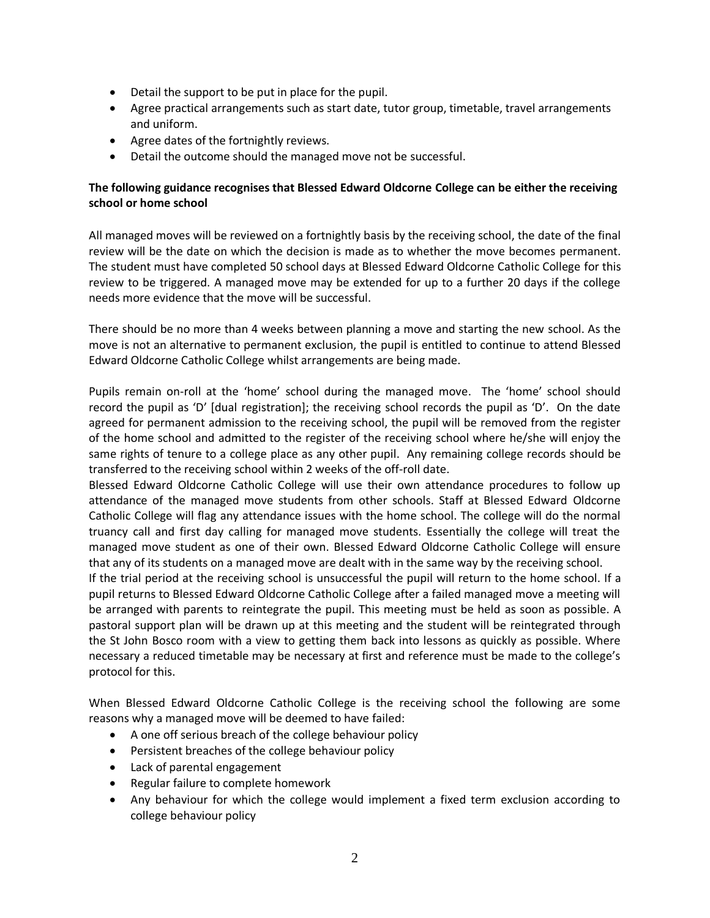- Detail the support to be put in place for the pupil.
- Agree practical arrangements such as start date, tutor group, timetable, travel arrangements and uniform.
- Agree dates of the fortnightly reviews.
- Detail the outcome should the managed move not be successful.

# **The following guidance recognises that Blessed Edward Oldcorne College can be either the receiving school or home school**

All managed moves will be reviewed on a fortnightly basis by the receiving school, the date of the final review will be the date on which the decision is made as to whether the move becomes permanent. The student must have completed 50 school days at Blessed Edward Oldcorne Catholic College for this review to be triggered. A managed move may be extended for up to a further 20 days if the college needs more evidence that the move will be successful.

There should be no more than 4 weeks between planning a move and starting the new school. As the move is not an alternative to permanent exclusion, the pupil is entitled to continue to attend Blessed Edward Oldcorne Catholic College whilst arrangements are being made.

Pupils remain on-roll at the 'home' school during the managed move. The 'home' school should record the pupil as 'D' [dual registration]; the receiving school records the pupil as 'D'. On the date agreed for permanent admission to the receiving school, the pupil will be removed from the register of the home school and admitted to the register of the receiving school where he/she will enjoy the same rights of tenure to a college place as any other pupil. Any remaining college records should be transferred to the receiving school within 2 weeks of the off-roll date.

Blessed Edward Oldcorne Catholic College will use their own attendance procedures to follow up attendance of the managed move students from other schools. Staff at Blessed Edward Oldcorne Catholic College will flag any attendance issues with the home school. The college will do the normal truancy call and first day calling for managed move students. Essentially the college will treat the managed move student as one of their own. Blessed Edward Oldcorne Catholic College will ensure that any of its students on a managed move are dealt with in the same way by the receiving school.

If the trial period at the receiving school is unsuccessful the pupil will return to the home school. If a pupil returns to Blessed Edward Oldcorne Catholic College after a failed managed move a meeting will be arranged with parents to reintegrate the pupil. This meeting must be held as soon as possible. A pastoral support plan will be drawn up at this meeting and the student will be reintegrated through the St John Bosco room with a view to getting them back into lessons as quickly as possible. Where necessary a reduced timetable may be necessary at first and reference must be made to the college's protocol for this.

When Blessed Edward Oldcorne Catholic College is the receiving school the following are some reasons why a managed move will be deemed to have failed:

- A one off serious breach of the college behaviour policy
- Persistent breaches of the college behaviour policy
- Lack of parental engagement
- Regular failure to complete homework
- Any behaviour for which the college would implement a fixed term exclusion according to college behaviour policy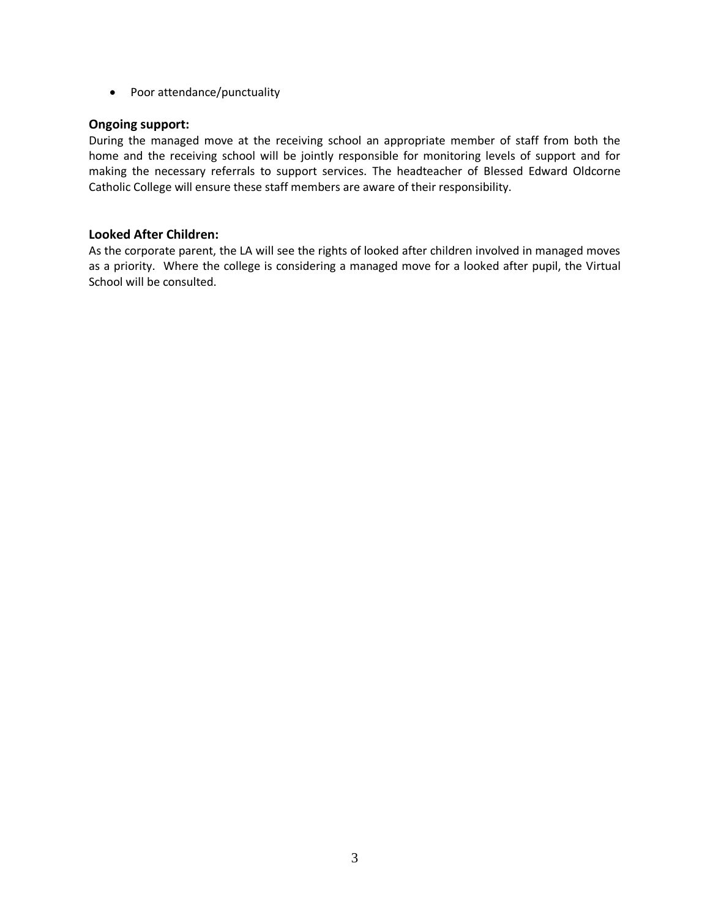• Poor attendance/punctuality

# **Ongoing support:**

During the managed move at the receiving school an appropriate member of staff from both the home and the receiving school will be jointly responsible for monitoring levels of support and for making the necessary referrals to support services. The headteacher of Blessed Edward Oldcorne Catholic College will ensure these staff members are aware of their responsibility.

# **Looked After Children:**

As the corporate parent, the LA will see the rights of looked after children involved in managed moves as a priority. Where the college is considering a managed move for a looked after pupil, the Virtual School will be consulted.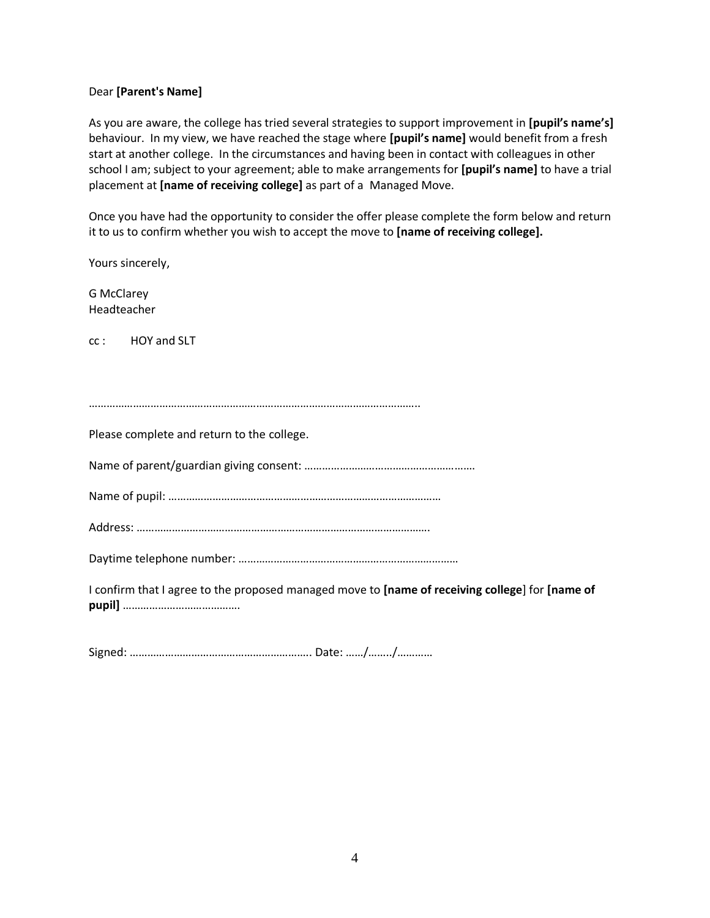### Dear **[Parent's Name]**

As you are aware, the college has tried several strategies to support improvement in **[pupil's name's]** behaviour. In my view, we have reached the stage where **[pupil's name]** would benefit from a fresh start at another college. In the circumstances and having been in contact with colleagues in other school I am; subject to your agreement; able to make arrangements for **[pupil's name]** to have a trial placement at **[name of receiving college]** as part of a Managed Move.

Once you have had the opportunity to consider the offer please complete the form below and return it to us to confirm whether you wish to accept the move to **[name of receiving college].** 

Yours sincerely,

G McClarey Headteacher

cc : HOY and SLT

…………………………………………………………………………………………………..

Please complete and return to the college.

Name of parent/guardian giving consent: ………………………………………………….

Name of pupil: …………………………………………………………………………………

Address: ……………………………………………………………………………………….

Daytime telephone number: …………………………………………………………………

I confirm that I agree to the proposed managed move to **[name of receiving college**] for **[name of pupil]** ………………………………….

Signed: …………………………………………………….. Date: ……/……../…………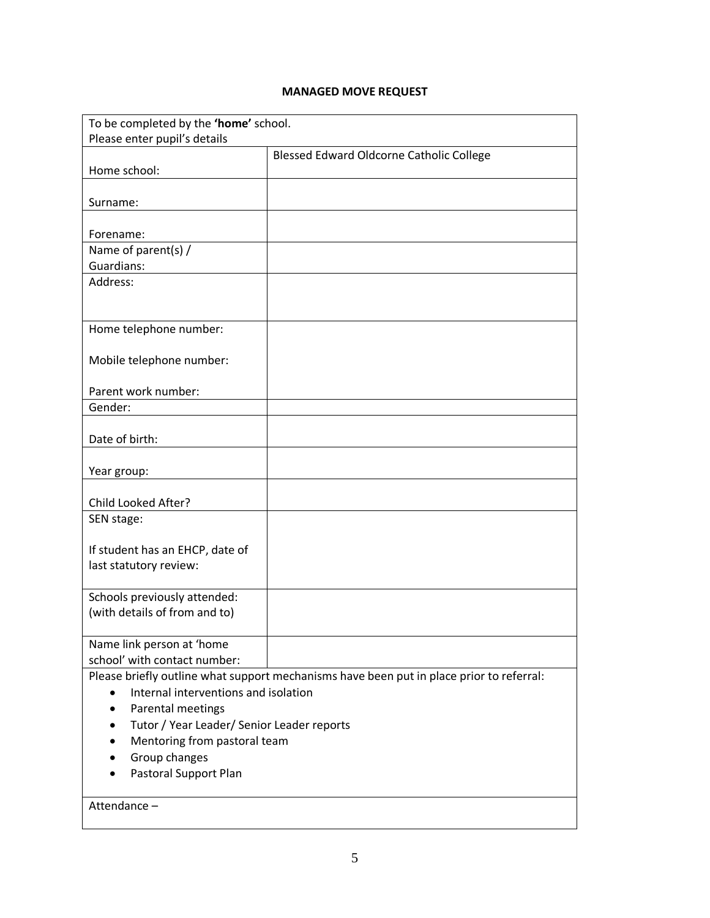# **MANAGED MOVE REQUEST**

| To be completed by the 'home' school.             |                                                                                          |  |
|---------------------------------------------------|------------------------------------------------------------------------------------------|--|
| Please enter pupil's details                      |                                                                                          |  |
|                                                   | Blessed Edward Oldcorne Catholic College                                                 |  |
| Home school:                                      |                                                                                          |  |
|                                                   |                                                                                          |  |
| Surname:                                          |                                                                                          |  |
|                                                   |                                                                                          |  |
| Forename:                                         |                                                                                          |  |
| Name of parent(s) /                               |                                                                                          |  |
| Guardians:                                        |                                                                                          |  |
| Address:                                          |                                                                                          |  |
|                                                   |                                                                                          |  |
|                                                   |                                                                                          |  |
| Home telephone number:                            |                                                                                          |  |
|                                                   |                                                                                          |  |
| Mobile telephone number:                          |                                                                                          |  |
|                                                   |                                                                                          |  |
| Parent work number:                               |                                                                                          |  |
| Gender:                                           |                                                                                          |  |
|                                                   |                                                                                          |  |
| Date of birth:                                    |                                                                                          |  |
|                                                   |                                                                                          |  |
| Year group:                                       |                                                                                          |  |
|                                                   |                                                                                          |  |
| Child Looked After?                               |                                                                                          |  |
| SEN stage:                                        |                                                                                          |  |
|                                                   |                                                                                          |  |
| If student has an EHCP, date of                   |                                                                                          |  |
| last statutory review:                            |                                                                                          |  |
|                                                   |                                                                                          |  |
| Schools previously attended:                      |                                                                                          |  |
| (with details of from and to)                     |                                                                                          |  |
|                                                   |                                                                                          |  |
| Name link person at 'home                         |                                                                                          |  |
| school' with contact number:                      |                                                                                          |  |
|                                                   | Please briefly outline what support mechanisms have been put in place prior to referral: |  |
| Internal interventions and isolation<br>$\bullet$ |                                                                                          |  |
| Parental meetings                                 |                                                                                          |  |
| Tutor / Year Leader/ Senior Leader reports        |                                                                                          |  |
| Mentoring from pastoral team                      |                                                                                          |  |
| Group changes                                     |                                                                                          |  |
| Pastoral Support Plan                             |                                                                                          |  |
|                                                   |                                                                                          |  |
| Attendance-                                       |                                                                                          |  |
|                                                   |                                                                                          |  |